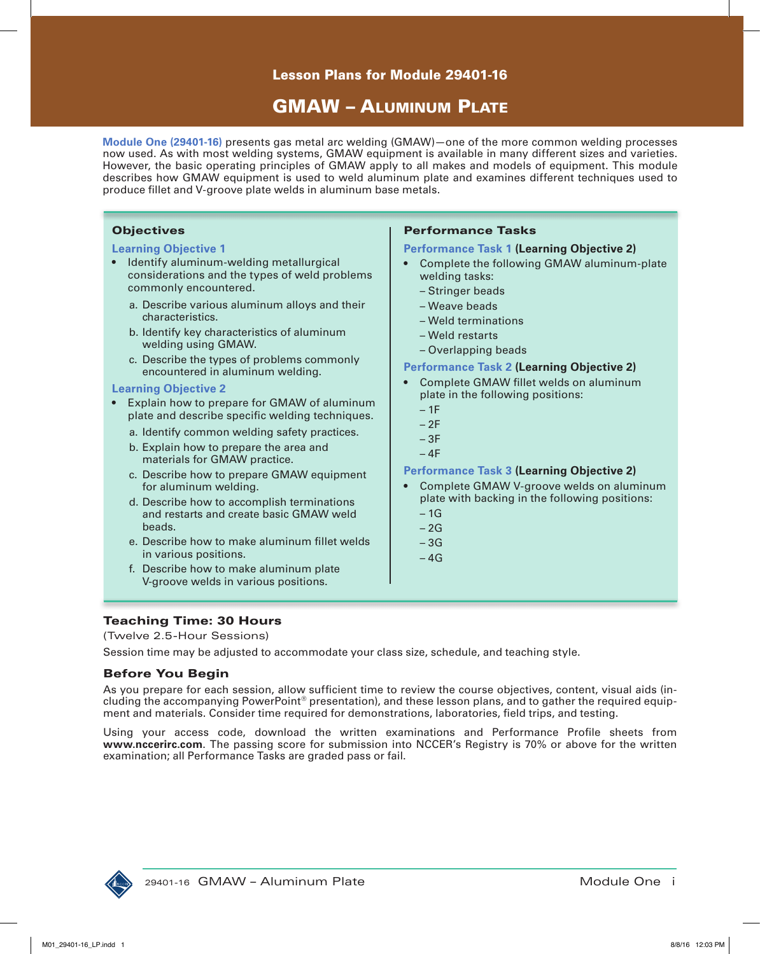# Lesson Plans for Module 29401-16

# GMAW – Aluminum Plate

**Module One (29401-16)** presents gas metal arc welding (GMAW)—one of the more common welding processes now used. As with most welding systems, GMAW equipment is available in many different sizes and varieties. However, the basic operating principles of GMAW apply to all makes and models of equipment. This module describes how GMAW equipment is used to weld aluminum plate and examines different techniques used to produce fillet and V-groove plate welds in aluminum base metals.

| <b>Objectives</b>                                                                                                                                                                                                                                                                                                                                                                                                                                                                                                                                                                                                                                                                                                                                                                                                                                                                                                                                                             | <b>Performance Tasks</b>                                                                                                                                                                                                                                                                                                                                                                                                                                                                                                                                                            |
|-------------------------------------------------------------------------------------------------------------------------------------------------------------------------------------------------------------------------------------------------------------------------------------------------------------------------------------------------------------------------------------------------------------------------------------------------------------------------------------------------------------------------------------------------------------------------------------------------------------------------------------------------------------------------------------------------------------------------------------------------------------------------------------------------------------------------------------------------------------------------------------------------------------------------------------------------------------------------------|-------------------------------------------------------------------------------------------------------------------------------------------------------------------------------------------------------------------------------------------------------------------------------------------------------------------------------------------------------------------------------------------------------------------------------------------------------------------------------------------------------------------------------------------------------------------------------------|
| <b>Learning Objective 1</b><br>Identify aluminum-welding metallurgical<br>considerations and the types of weld problems<br>commonly encountered.<br>a. Describe various aluminum alloys and their<br>characteristics.<br>b. Identify key characteristics of aluminum<br>welding using GMAW.<br>c. Describe the types of problems commonly<br>encountered in aluminum welding.<br><b>Learning Objective 2</b><br>Explain how to prepare for GMAW of aluminum<br>plate and describe specific welding techniques.<br>a. Identify common welding safety practices.<br>b. Explain how to prepare the area and<br>materials for GMAW practice.<br>c. Describe how to prepare GMAW equipment<br>for aluminum welding.<br>d. Describe how to accomplish terminations<br>and restarts and create basic GMAW weld<br>beads.<br>e. Describe how to make aluminum fillet welds<br>in various positions.<br>f. Describe how to make aluminum plate<br>V-groove welds in various positions. | <b>Performance Task 1 (Learning Objective 2)</b><br>Complete the following GMAW aluminum-plate<br>welding tasks:<br>- Stringer beads<br>- Weave beads<br>- Weld terminations<br>- Weld restarts<br>- Overlapping beads<br><b>Performance Task 2 (Learning Objective 2)</b><br>Complete GMAW fillet welds on aluminum<br>plate in the following positions:<br>$-1F$<br>$-2F$<br>$-3F$<br>$-4F$<br><b>Performance Task 3 (Learning Objective 2)</b><br>Complete GMAW V-groove welds on aluminum<br>plate with backing in the following positions:<br>$-1G$<br>$-2G$<br>$-3G$<br>$-4G$ |

## Teaching Time: 30 Hours

(Twelve 2.5-Hour Sessions)

Session time may be adjusted to accommodate your class size, schedule, and teaching style.

## Before You Begin

As you prepare for each session, allow sufficient time to review the course objectives, content, visual aids (including the accompanying PowerPoint<sup>®</sup> presentation), and these lesson plans, and to gather the required equipment and materials. Consider time required for demonstrations, laboratories, field trips, and testing.

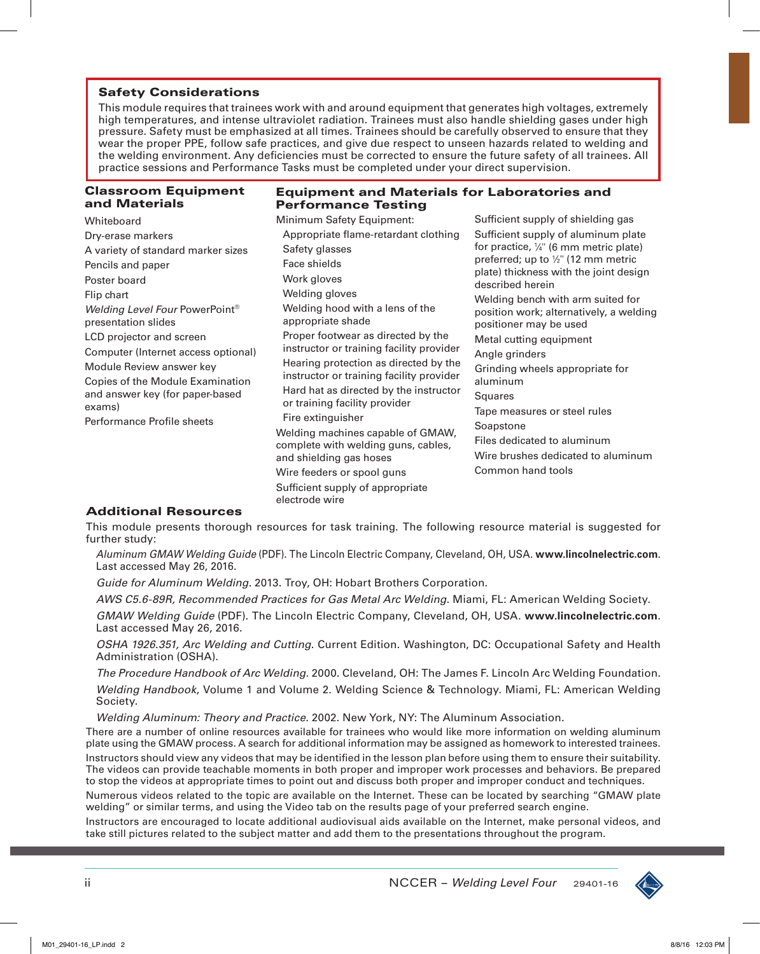This module requires that trainees work with and around equipment that generates high voltages, extremely high temperatures, and intense ultraviolet radiation. Trainees must also handle shielding gases under high pressure. Safety must be emphasized at all times. Trainees should be carefully observed to ensure that they wear the proper PPE, follow safe practices, and give due respect to unseen hazards related to welding and the welding environment. Any deficiencies must be corrected to ensure the future safety of all trainees. All practice sessions and Performance Tasks must be completed under your direct supervision.

#### Classroom Equipment and Materials

#### Equipment and Materials for Laboratories and Performance Testing

| Whiteboard                                            | Minimum Safety Equipment:                                                | Sufficient supply of shielding gas                                                       |
|-------------------------------------------------------|--------------------------------------------------------------------------|------------------------------------------------------------------------------------------|
| Dry-erase markers                                     | Appropriate flame-retardant clothing                                     | Sufficient supply of aluminum plate                                                      |
| A variety of standard marker sizes                    | Safety glasses                                                           | for practice, $\frac{1}{4}$ " (6 mm metric plate)                                        |
| Pencils and paper                                     | Face shields                                                             | preferred; up to $\frac{1}{2}$ " (12 mm metric<br>plate) thickness with the joint design |
| Poster board                                          | Work gloves                                                              | described herein                                                                         |
| Flip chart                                            | Welding gloves                                                           | Welding bench with arm suited for                                                        |
| Welding Level Four PowerPoint®<br>presentation slides | Welding hood with a lens of the<br>appropriate shade                     | position work; alternatively, a welding<br>positioner may be used                        |
| LCD projector and screen                              | Proper footwear as directed by the                                       | Metal cutting equipment                                                                  |
| Computer (Internet access optional)                   | instructor or training facility provider                                 | Angle grinders                                                                           |
| Module Review answer key                              | Hearing protection as directed by the                                    | Grinding wheels appropriate for                                                          |
| Copies of the Module Examination                      | instructor or training facility provider                                 | aluminum                                                                                 |
| and answer key (for paper-based                       | Hard hat as directed by the instructor<br>or training facility provider  | Squares                                                                                  |
| exams)                                                | Fire extinguisher                                                        | Tape measures or steel rules                                                             |
| Performance Profile sheets                            |                                                                          | Soapstone                                                                                |
|                                                       | Welding machines capable of GMAW,<br>complete with welding guns, cables, | Files dedicated to aluminum                                                              |
|                                                       | and shielding gas hoses                                                  | Wire brushes dedicated to aluminum                                                       |
|                                                       | Wire feeders or spool guns                                               | Common hand tools                                                                        |
|                                                       | Sufficient supply of appropriate                                         |                                                                                          |

## Additional Resources

This module presents thorough resources for task training. The following resource material is suggested for further study:

*Aluminum GMAW Welding Guide* (PDF). The Lincoln Electric Company, Cleveland, OH, USA. **www.lincolnelectric.com**. Last accessed May 26, 2016.

*Guide for Aluminum Welding*. 2013. Troy, OH: Hobart Brothers Corporation.

electrode wire

*AWS C5.6-89R, Recommended Practices for Gas Metal Arc Welding*. Miami, FL: American Welding Society.

*GMAW Welding Guide* (PDF). The Lincoln Electric Company, Cleveland, OH, USA. **www.lincolnelectric.com**. Last accessed May 26, 2016.

*OSHA 1926.351, Arc Welding and Cutting*. Current Edition. Washington, DC: Occupational Safety and Health Administration (OSHA).

*The Procedure Handbook of Arc Welding*. 2000. Cleveland, OH: The James F. Lincoln Arc Welding Foundation.

*Welding Handbook*, Volume 1 and Volume 2. Welding Science & Technology. Miami, FL: American Welding Society.

*Welding Aluminum: Theory and Practice*. 2002. New York, NY: The Aluminum Association.

There are a number of online resources available for trainees who would like more information on welding aluminum plate using the GMAW process. A search for additional information may be assigned as homework to interested trainees.

Instructors should view any videos that may be identified in the lesson plan before using them to ensure their suitability. The videos can provide teachable moments in both proper and improper work processes and behaviors. Be prepared to stop the videos at appropriate times to point out and discuss both proper and improper conduct and techniques.

Numerous videos related to the topic are available on the Internet. These can be located by searching "GMAW plate welding" or similar terms, and using the Video tab on the results page of your preferred search engine.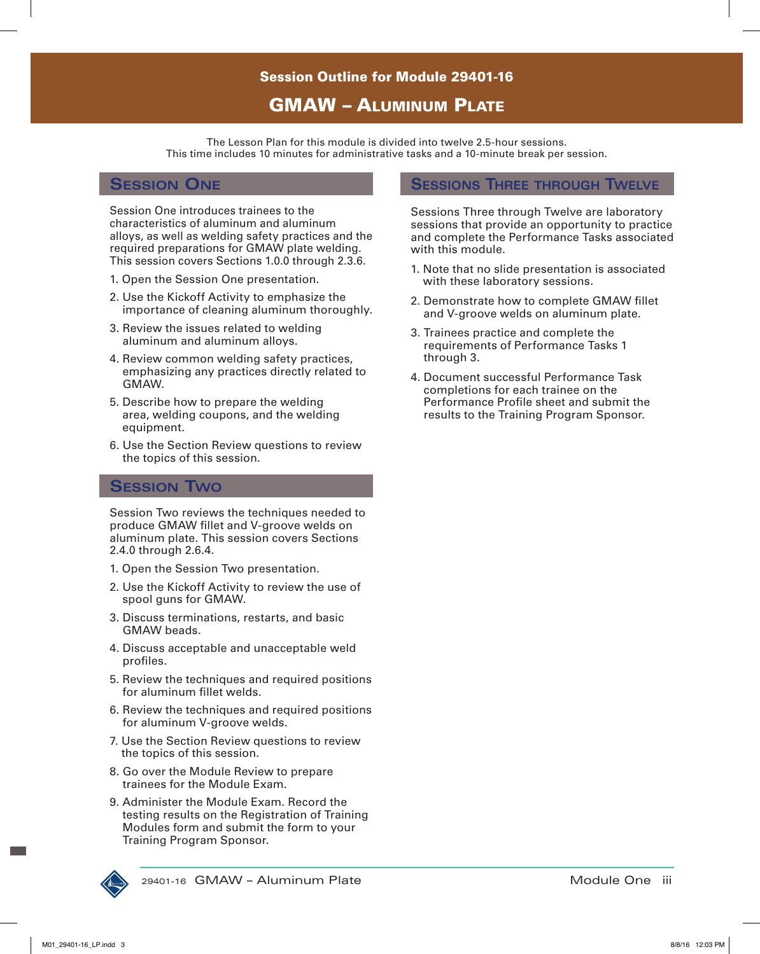# Session Outline for Module 29401-16

# GMAW – Aluminum Plate

The Lesson Plan for this module is divided into twelve 2.5-hour sessions. This time includes 10 minutes for administrative tasks and a 10-minute break per session.

# **Session One**

Session One introduces trainees to the characteristics of aluminum and aluminum alloys, as well as welding safety practices and the required preparations for GMAW plate welding. This session covers Sections 1.0.0 through 2.3.6.

- 1. Open the Session One presentation.
- 2. Use the Kickoff Activity to emphasize the importance of cleaning aluminum thoroughly.
- 3. Review the issues related to welding aluminum and aluminum alloys.
- 4. Review common welding safety practices, emphasizing any practices directly related to GMAW.
- 5. Describe how to prepare the welding area, welding coupons, and the welding equipment.
- 6. Use the Section Review questions to review the topics of this session.

# **Session Two**

Session Two reviews the techniques needed to produce GMAW fillet and V-groove welds on aluminum plate. This session covers Sections 2.4.0 through 2.6.4.

- 1. Open the Session Two presentation.
- 2. Use the Kickoff Activity to review the use of spool guns for GMAW.
- 3. Discuss terminations, restarts, and basic GMAW beads.
- 4. Discuss acceptable and unacceptable weld profiles.
- 5. Review the techniques and required positions for aluminum fillet welds.
- 6. Review the techniques and required positions for aluminum V-groove welds.
- 7. Use the Section Review questions to review the topics of this session.
- 8. Go over the Module Review to prepare trainees for the Module Exam.
- 9. Administer the Module Exam. Record the testing results on the Registration of Training Modules form and submit the form to your Training Program Sponsor.

# **Sessions Three through Twelve**

Sessions Three through Twelve are laboratory sessions that provide an opportunity to practice and complete the Performance Tasks associated with this module.

- 1. Note that no slide presentation is associated with these laboratory sessions.
- 2. Demonstrate how to complete GMAW fillet and V-groove welds on aluminum plate.
- 3. Trainees practice and complete the requirements of Performance Tasks 1 through 3.
- 4. Document successful Performance Task completions for each trainee on the Performance Profile sheet and submit the results to the Training Program Sponsor.

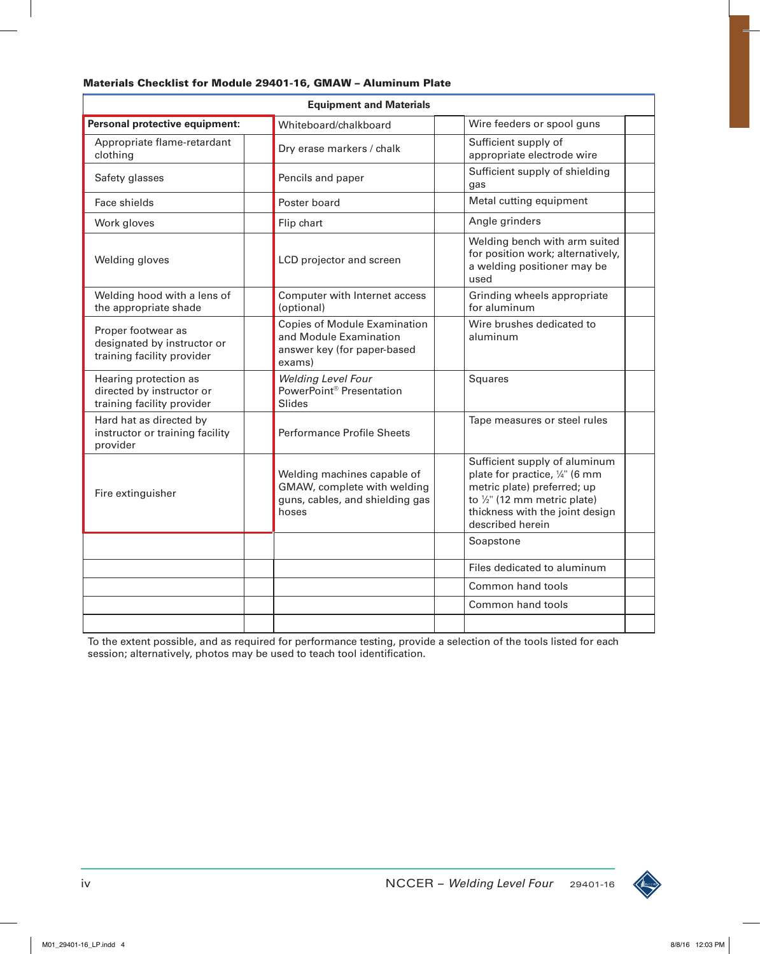## Materials Checklist for Module 29401-16, GMAW – Aluminum Plate

| <b>Equipment and Materials</b>                                                   |                                                                                                        |                                                                                                                                                                                       |
|----------------------------------------------------------------------------------|--------------------------------------------------------------------------------------------------------|---------------------------------------------------------------------------------------------------------------------------------------------------------------------------------------|
| Personal protective equipment:                                                   | Whiteboard/chalkboard                                                                                  | Wire feeders or spool guns                                                                                                                                                            |
| Appropriate flame-retardant<br>clothing                                          | Dry erase markers / chalk                                                                              | Sufficient supply of<br>appropriate electrode wire                                                                                                                                    |
| Safety glasses                                                                   | Pencils and paper                                                                                      | Sufficient supply of shielding<br>gas                                                                                                                                                 |
| Face shields                                                                     | Poster board                                                                                           | Metal cutting equipment                                                                                                                                                               |
| Work gloves                                                                      | Flip chart                                                                                             | Angle grinders                                                                                                                                                                        |
| Welding gloves                                                                   | LCD projector and screen                                                                               | Welding bench with arm suited<br>for position work; alternatively,<br>a welding positioner may be<br>used                                                                             |
| Welding hood with a lens of<br>the appropriate shade                             | Computer with Internet access<br>(optional)                                                            | Grinding wheels appropriate<br>for aluminum                                                                                                                                           |
| Proper footwear as<br>designated by instructor or<br>training facility provider  | <b>Copies of Module Examination</b><br>and Module Examination<br>answer key (for paper-based<br>exams) | Wire brushes dedicated to<br>aluminum                                                                                                                                                 |
| Hearing protection as<br>directed by instructor or<br>training facility provider | <b>Welding Level Four</b><br>PowerPoint® Presentation<br><b>Slides</b>                                 | Squares                                                                                                                                                                               |
| Hard hat as directed by<br>instructor or training facility<br>provider           | Performance Profile Sheets                                                                             | Tape measures or steel rules                                                                                                                                                          |
| Fire extinguisher                                                                | Welding machines capable of<br>GMAW, complete with welding<br>guns, cables, and shielding gas<br>hoses | Sufficient supply of aluminum<br>plate for practice, 1/4" (6 mm<br>metric plate) preferred; up<br>to 1/2" (12 mm metric plate)<br>thickness with the joint design<br>described herein |
|                                                                                  |                                                                                                        | Soapstone                                                                                                                                                                             |
|                                                                                  |                                                                                                        | Files dedicated to aluminum                                                                                                                                                           |
|                                                                                  |                                                                                                        | Common hand tools                                                                                                                                                                     |
|                                                                                  |                                                                                                        | Common hand tools                                                                                                                                                                     |
|                                                                                  |                                                                                                        |                                                                                                                                                                                       |

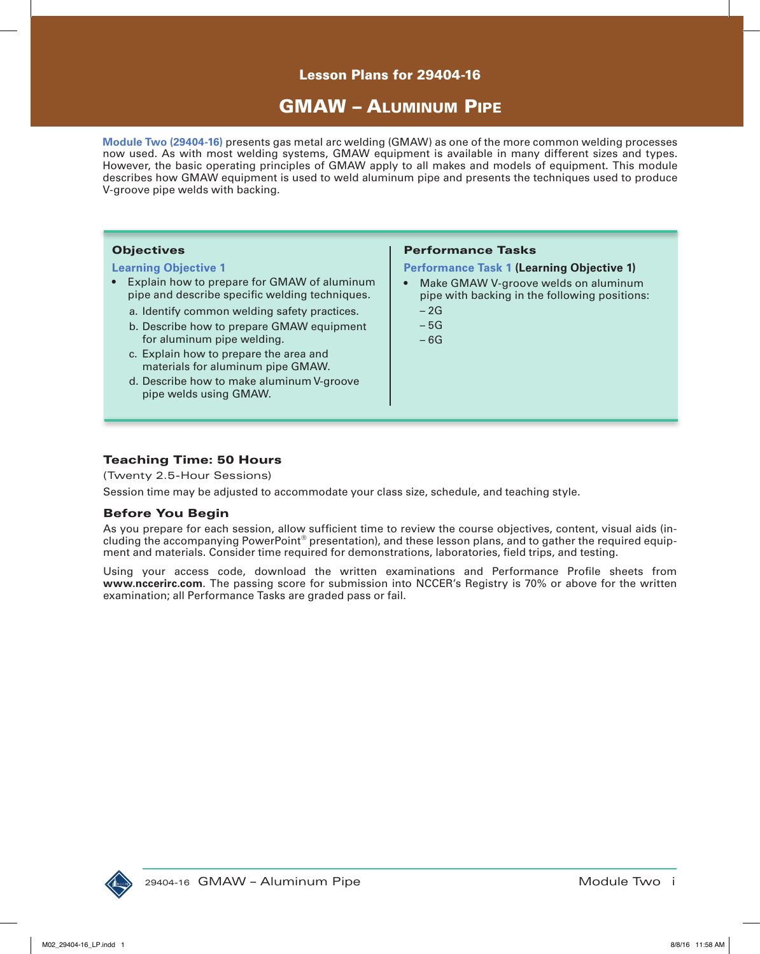# Lesson Plans for 29404-16

# GMAW – Aluminum Pipe

**Module Two (29404-16)** presents gas metal arc welding (GMAW) as one of the more common welding processes now used. As with most welding systems, GMAW equipment is available in many different sizes and types. However, the basic operating principles of GMAW apply to all makes and models of equipment. This module describes how GMAW equipment is used to weld aluminum pipe and presents the techniques used to produce V-groove pipe welds with backing.

#### **Objectives**

#### **Learning Objective 1**

- Explain how to prepare for GMAW of aluminum pipe and describe specific welding techniques.
	- a. Identify common welding safety practices.
	- b. Describe how to prepare GMAW equipment for aluminum pipe welding.
	- c. Explain how to prepare the area and materials for aluminum pipe GMAW.
	- d. Describe how to make aluminum V-groove pipe welds using GMAW.

#### Performance Tasks

**Performance Task 1 (Learning Objective 1)**

- Make GMAW V-groove welds on aluminum pipe with backing in the following positions:
	- 2G
	- 5G
	- 6G

## Teaching Time: 50 Hours

(Twenty 2.5-Hour Sessions)

Session time may be adjusted to accommodate your class size, schedule, and teaching style.

#### Before You Begin

As you prepare for each session, allow sufficient time to review the course objectives, content, visual aids (including the accompanying PowerPoint® presentation), and these lesson plans, and to gather the required equipment and materials. Consider time required for demonstrations, laboratories, field trips, and testing.

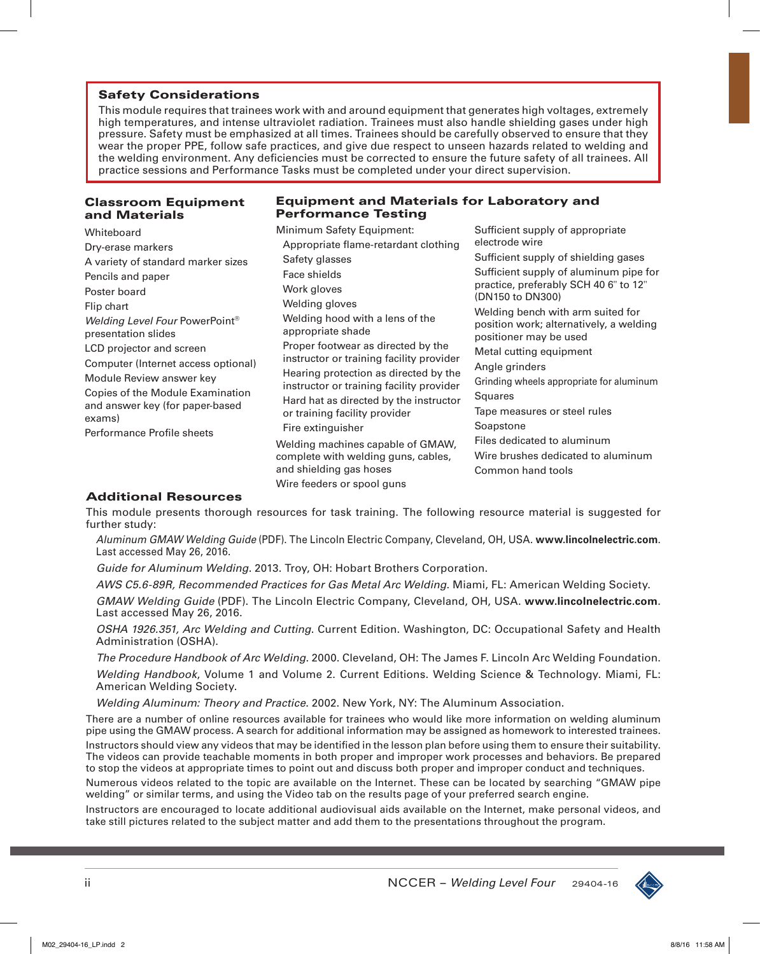This module requires that trainees work with and around equipment that generates high voltages, extremely high temperatures, and intense ultraviolet radiation. Trainees must also handle shielding gases under high pressure. Safety must be emphasized at all times. Trainees should be carefully observed to ensure that they wear the proper PPE, follow safe practices, and give due respect to unseen hazards related to welding and the welding environment. Any deficiencies must be corrected to ensure the future safety of all trainees. All practice sessions and Performance Tasks must be completed under your direct supervision.

#### Classroom Equipment and Materials

## Equipment and Materials for Laboratory and Performance Testing

| Whiteboard                                            | Minimum Safety Equipment:                                                         | Sufficient supply of appropriate                                                                       |
|-------------------------------------------------------|-----------------------------------------------------------------------------------|--------------------------------------------------------------------------------------------------------|
| Dry-erase markers                                     | Appropriate flame-retardant clothing                                              | electrode wire                                                                                         |
| A variety of standard marker sizes                    | Safety glasses                                                                    | Sufficient supply of shielding gases                                                                   |
| Pencils and paper                                     | Face shields                                                                      | Sufficient supply of aluminum pipe for                                                                 |
| Poster board                                          | Work gloves                                                                       | practice, preferably SCH 40 6" to 12"<br>(DN150 to DN300)                                              |
| Flip chart                                            | Welding gloves                                                                    |                                                                                                        |
| Welding Level Four PowerPoint®<br>presentation slides | Welding hood with a lens of the<br>appropriate shade                              | Welding bench with arm suited for<br>position work; alternatively, a welding<br>positioner may be used |
| LCD projector and screen                              | Proper footwear as directed by the                                                | Metal cutting equipment                                                                                |
| Computer (Internet access optional)                   | instructor or training facility provider                                          | Angle grinders                                                                                         |
| Module Review answer key                              | Hearing protection as directed by the<br>instructor or training facility provider | Grinding wheels appropriate for aluminum                                                               |
| Copies of the Module Examination                      | Hard hat as directed by the instructor                                            | Squares                                                                                                |
| and answer key (for paper-based<br>exams)             | or training facility provider                                                     | Tape measures or steel rules                                                                           |
|                                                       | Fire extinguisher                                                                 | Soapstone                                                                                              |
| Performance Profile sheets                            | Welding machines capable of GMAW,                                                 | Files dedicated to aluminum                                                                            |
|                                                       | complete with welding guns, cables,                                               | Wire brushes dedicated to aluminum                                                                     |

## Additional Resources

This module presents thorough resources for task training. The following resource material is suggested for further study:

and shielding gas hoses Wire feeders or spool guns

*Aluminum GMAW Welding Guide* (PDF). The Lincoln Electric Company, Cleveland, OH, USA. **www.lincolnelectric.com**. Last accessed May 26, 2016.

*Guide for Aluminum Welding*. 2013. Troy, OH: Hobart Brothers Corporation.

*AWS C5.6-89R, Recommended Practices for Gas Metal Arc Welding*. Miami, FL: American Welding Society.

*GMAW Welding Guide* (PDF). The Lincoln Electric Company, Cleveland, OH, USA. **www.lincolnelectric.com**. Last accessed May 26, 2016.

*OSHA 1926.351, Arc Welding and Cutting*. Current Edition. Washington, DC: Occupational Safety and Health Administration (OSHA).

*The Procedure Handbook of Arc Welding*. 2000. Cleveland, OH: The James F. Lincoln Arc Welding Foundation.

*Welding Handbook*, Volume 1 and Volume 2. Current Editions. Welding Science & Technology. Miami, FL: American Welding Society.

*Welding Aluminum: Theory and Practice*. 2002. New York, NY: The Aluminum Association.

There are a number of online resources available for trainees who would like more information on welding aluminum pipe using the GMAW process. A search for additional information may be assigned as homework to interested trainees. Instructors should view any videos that may be identified in the lesson plan before using them to ensure their suitability. The videos can provide teachable moments in both proper and improper work processes and behaviors. Be prepared to stop the videos at appropriate times to point out and discuss both proper and improper conduct and techniques.

Numerous videos related to the topic are available on the Internet. These can be located by searching "GMAW pipe welding" or similar terms, and using the Video tab on the results page of your preferred search engine.

Instructors are encouraged to locate additional audiovisual aids available on the Internet, make personal videos, and take still pictures related to the subject matter and add them to the presentations throughout the program.



Common hand tools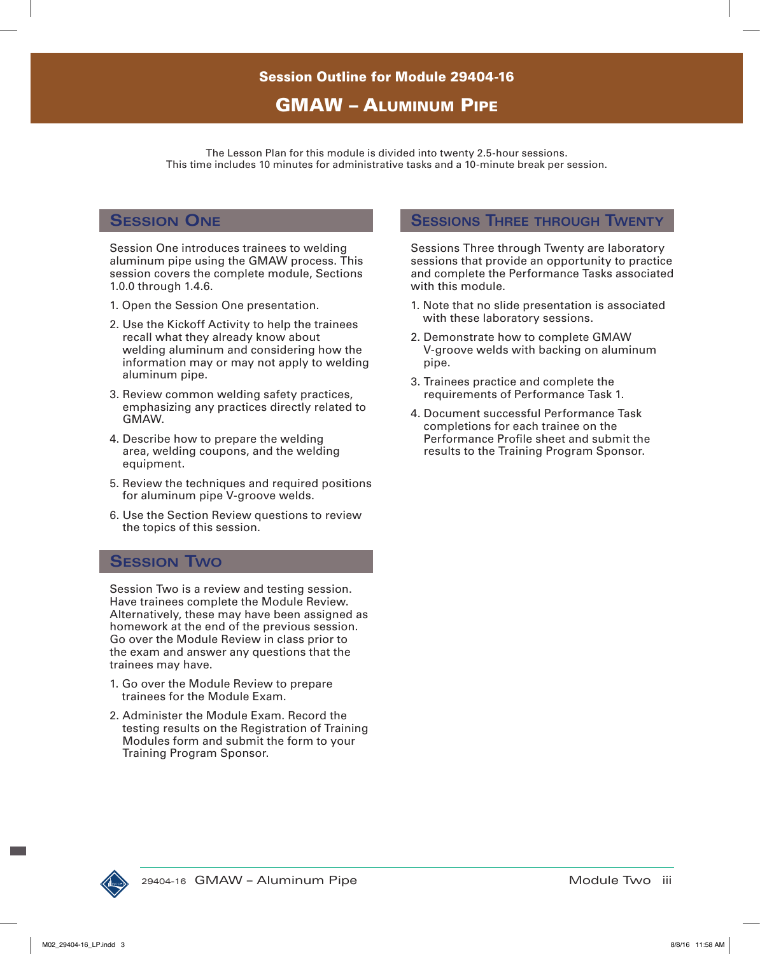# Session Outline for Module 29404-16

GMAW – Aluminum Pipe

The Lesson Plan for this module is divided into twenty 2.5-hour sessions. This time includes 10 minutes for administrative tasks and a 10-minute break per session.

# **Session One**

Session One introduces trainees to welding aluminum pipe using the GMAW process. This session covers the complete module, Sections 1.0.0 through 1.4.6.

- 1. Open the Session One presentation.
- 2. Use the Kickoff Activity to help the trainees recall what they already know about welding aluminum and considering how the information may or may not apply to welding aluminum pipe.
- 3. Review common welding safety practices, emphasizing any practices directly related to GMAW.
- 4. Describe how to prepare the welding area, welding coupons, and the welding equipment.
- 5. Review the techniques and required positions for aluminum pipe V-groove welds.
- 6. Use the Section Review questions to review the topics of this session.

# **Session Two**

Session Two is a review and testing session. Have trainees complete the Module Review. Alternatively, these may have been assigned as homework at the end of the previous session. Go over the Module Review in class prior to the exam and answer any questions that the trainees may have.

- 1. Go over the Module Review to prepare trainees for the Module Exam.
- 2. Administer the Module Exam. Record the testing results on the Registration of Training Modules form and submit the form to your Training Program Sponsor.

# **Sessions Three through Twenty**

Sessions Three through Twenty are laboratory sessions that provide an opportunity to practice and complete the Performance Tasks associated with this module.

- 1. Note that no slide presentation is associated with these laboratory sessions.
- 2. Demonstrate how to complete GMAW V-groove welds with backing on aluminum pipe.
- 3. Trainees practice and complete the requirements of Performance Task 1.
- 4. Document successful Performance Task completions for each trainee on the Performance Profile sheet and submit the results to the Training Program Sponsor.

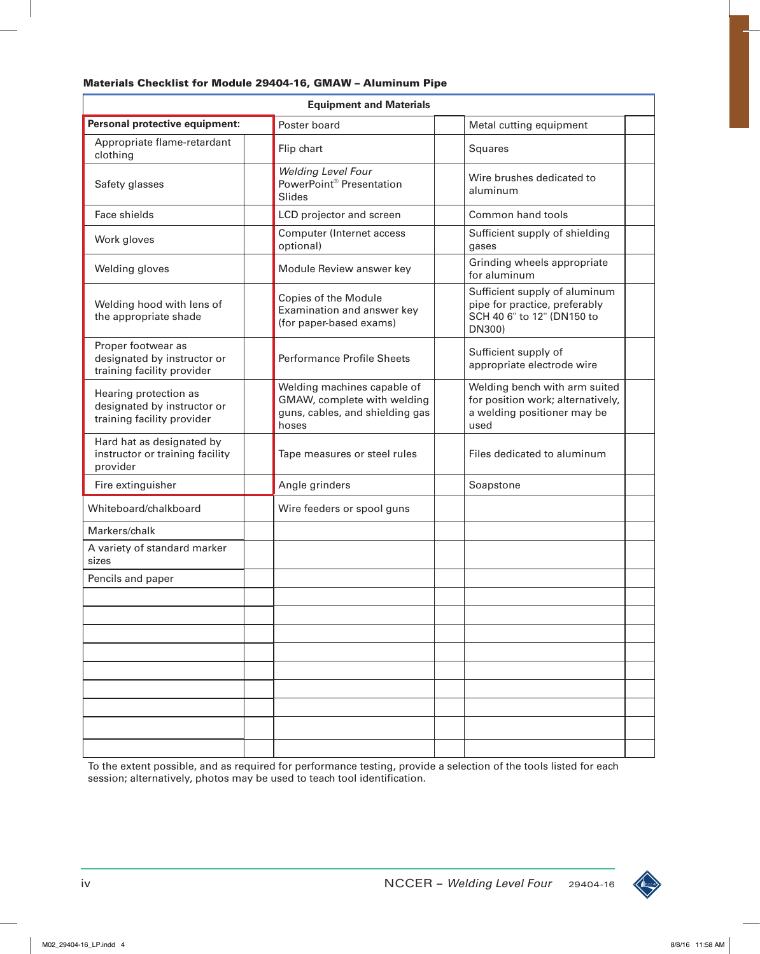## Materials Checklist for Module 29404-16, GMAW – Aluminum Pipe

| <b>Equipment and Materials</b>                                                     |                                                                                                        |                                                                                                           |  |
|------------------------------------------------------------------------------------|--------------------------------------------------------------------------------------------------------|-----------------------------------------------------------------------------------------------------------|--|
| Personal protective equipment:                                                     | Poster board                                                                                           | Metal cutting equipment                                                                                   |  |
| Appropriate flame-retardant<br>clothing                                            | Flip chart                                                                                             | Squares                                                                                                   |  |
| Safety glasses                                                                     | <b>Welding Level Four</b><br>PowerPoint® Presentation<br>Slides                                        | Wire brushes dedicated to<br>aluminum                                                                     |  |
| Face shields                                                                       | LCD projector and screen                                                                               | Common hand tools                                                                                         |  |
| Work gloves                                                                        | Computer (Internet access<br>optional)                                                                 | Sufficient supply of shielding<br>gases                                                                   |  |
| Welding gloves                                                                     | Module Review answer key                                                                               | Grinding wheels appropriate<br>for aluminum                                                               |  |
| Welding hood with lens of<br>the appropriate shade                                 | Copies of the Module<br>Examination and answer key<br>(for paper-based exams)                          | Sufficient supply of aluminum<br>pipe for practice, preferably<br>SCH 40 6" to 12" (DN150 to<br>DN300)    |  |
| Proper footwear as<br>designated by instructor or<br>training facility provider    | <b>Performance Profile Sheets</b>                                                                      | Sufficient supply of<br>appropriate electrode wire                                                        |  |
| Hearing protection as<br>designated by instructor or<br>training facility provider | Welding machines capable of<br>GMAW, complete with welding<br>guns, cables, and shielding gas<br>hoses | Welding bench with arm suited<br>for position work; alternatively,<br>a welding positioner may be<br>used |  |
| Hard hat as designated by<br>instructor or training facility<br>provider           | Tape measures or steel rules                                                                           | Files dedicated to aluminum                                                                               |  |
| Fire extinguisher                                                                  | Angle grinders                                                                                         | Soapstone                                                                                                 |  |
| Whiteboard/chalkboard                                                              | Wire feeders or spool guns                                                                             |                                                                                                           |  |
| Markers/chalk                                                                      |                                                                                                        |                                                                                                           |  |
| A variety of standard marker<br>sizes                                              |                                                                                                        |                                                                                                           |  |
| Pencils and paper                                                                  |                                                                                                        |                                                                                                           |  |
|                                                                                    |                                                                                                        |                                                                                                           |  |
|                                                                                    |                                                                                                        |                                                                                                           |  |
|                                                                                    |                                                                                                        |                                                                                                           |  |
|                                                                                    |                                                                                                        |                                                                                                           |  |
|                                                                                    |                                                                                                        |                                                                                                           |  |
|                                                                                    |                                                                                                        |                                                                                                           |  |
|                                                                                    |                                                                                                        |                                                                                                           |  |
|                                                                                    |                                                                                                        |                                                                                                           |  |
|                                                                                    |                                                                                                        |                                                                                                           |  |

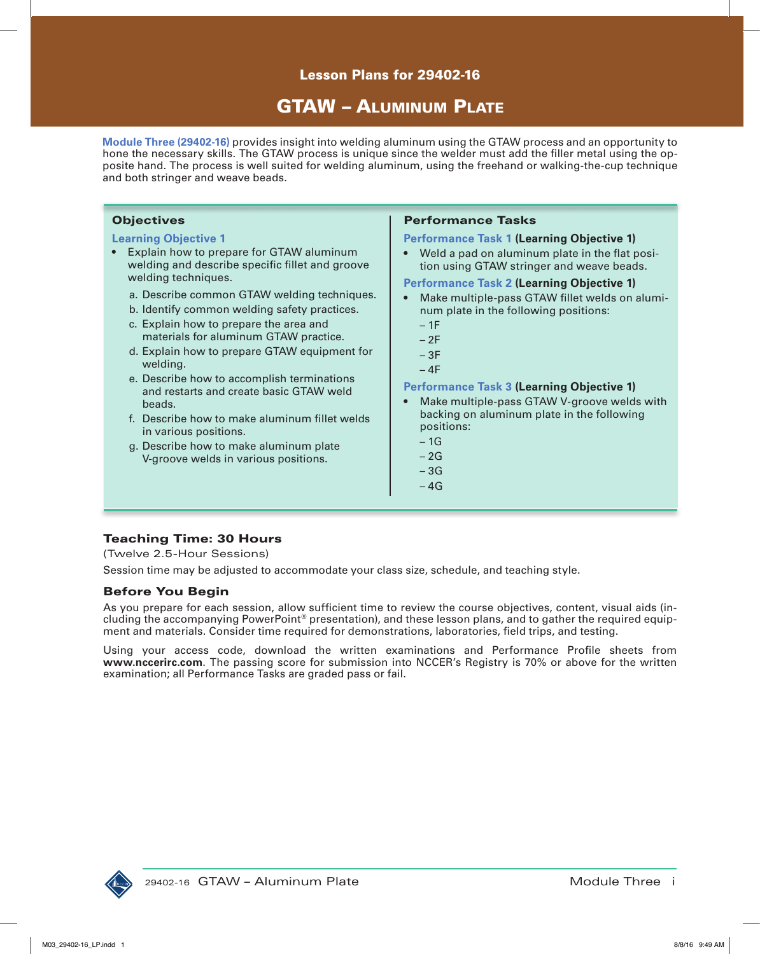# Lesson Plans for 29402-16

# GTAW – Aluminum Plate

**Module Three (29402-16)** provides insight into welding aluminum using the GTAW process and an opportunity to hone the necessary skills. The GTAW process is unique since the welder must add the filler metal using the opposite hand. The process is well suited for welding aluminum, using the freehand or walking-the-cup technique and both stringer and weave beads.

| <b>Objectives</b>                                                                                                                                                                                                                                                                                                                                                                                                                                                                                                                                                                                                                                              | <b>Performance Tasks</b>                                                                                                                                                                                                                                                                                                                                                                                                                                                                                                              |
|----------------------------------------------------------------------------------------------------------------------------------------------------------------------------------------------------------------------------------------------------------------------------------------------------------------------------------------------------------------------------------------------------------------------------------------------------------------------------------------------------------------------------------------------------------------------------------------------------------------------------------------------------------------|---------------------------------------------------------------------------------------------------------------------------------------------------------------------------------------------------------------------------------------------------------------------------------------------------------------------------------------------------------------------------------------------------------------------------------------------------------------------------------------------------------------------------------------|
| <b>Learning Objective 1</b><br>Explain how to prepare for GTAW aluminum<br>welding and describe specific fillet and groove<br>welding techniques.<br>a. Describe common GTAW welding techniques.<br>b. Identify common welding safety practices.<br>c. Explain how to prepare the area and<br>materials for aluminum GTAW practice.<br>d. Explain how to prepare GTAW equipment for<br>welding.<br>e. Describe how to accomplish terminations<br>and restarts and create basic GTAW weld<br>beads.<br>f. Describe how to make aluminum fillet welds<br>in various positions.<br>g. Describe how to make aluminum plate<br>V-groove welds in various positions. | <b>Performance Task 1 (Learning Objective 1)</b><br>Weld a pad on aluminum plate in the flat posi-<br>tion using GTAW stringer and weave beads.<br><b>Performance Task 2 (Learning Objective 1)</b><br>Make multiple-pass GTAW fillet welds on alumi-<br>num plate in the following positions:<br>$-1F$<br>$-2F$<br>$-3F$<br>$-4F$<br><b>Performance Task 3 (Learning Objective 1)</b><br>Make multiple-pass GTAW V-groove welds with<br>backing on aluminum plate in the following<br>positions:<br>$-1G$<br>$-2G$<br>$-3G$<br>$-4G$ |

## Teaching Time: 30 Hours

(Twelve 2.5-Hour Sessions)

Session time may be adjusted to accommodate your class size, schedule, and teaching style.

#### Before You Begin

As you prepare for each session, allow sufficient time to review the course objectives, content, visual aids (including the accompanying PowerPoint® presentation), and these lesson plans, and to gather the required equipment and materials. Consider time required for demonstrations, laboratories, field trips, and testing.

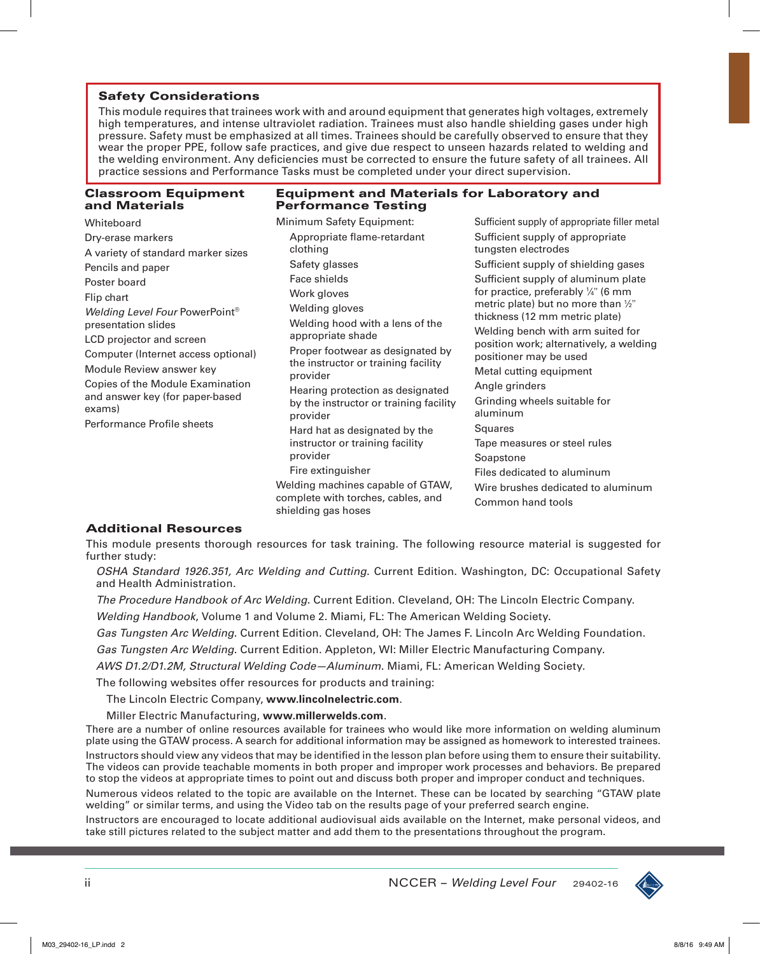This module requires that trainees work with and around equipment that generates high voltages, extremely high temperatures, and intense ultraviolet radiation. Trainees must also handle shielding gases under high pressure. Safety must be emphasized at all times. Trainees should be carefully observed to ensure that they wear the proper PPE, follow safe practices, and give due respect to unseen hazards related to welding and the welding environment. Any deficiencies must be corrected to ensure the future safety of all trainees. All practice sessions and Performance Tasks must be completed under your direct supervision.

#### Classroom Equipment and Materials

#### Equipment and Materials for Laboratory and Performance Testing

| Whiteboard                                            | Minimum Safety Equipment:                                               | Sufficient supply of appropriate filler metal                                    |
|-------------------------------------------------------|-------------------------------------------------------------------------|----------------------------------------------------------------------------------|
| Dry-erase markers                                     | Appropriate flame-retardant                                             | Sufficient supply of appropriate                                                 |
| A variety of standard marker sizes                    | clothing                                                                | tungsten electrodes                                                              |
| Pencils and paper                                     | Safety glasses                                                          | Sufficient supply of shielding gases                                             |
| Poster board                                          | Face shields                                                            | Sufficient supply of aluminum plate                                              |
| Flip chart                                            | Work gloves                                                             | for practice, preferably 1/4" (6 mm                                              |
| Welding Level Four PowerPoint®<br>presentation slides | Welding gloves<br>Welding hood with a lens of the                       | metric plate) but no more than $\frac{1}{2}$ "<br>thickness (12 mm metric plate) |
| LCD projector and screen                              | appropriate shade                                                       | Welding bench with arm suited for                                                |
| Computer (Internet access optional)                   | Proper footwear as designated by                                        | position work; alternatively, a welding<br>positioner may be used                |
| Module Review answer key                              | the instructor or training facility<br>provider                         | Metal cutting equipment                                                          |
| Copies of the Module Examination                      | Hearing protection as designated                                        | Angle grinders                                                                   |
| and answer key (for paper-based<br>exams)             | by the instructor or training facility<br>provider                      | Grinding wheels suitable for<br>aluminum                                         |
| Performance Profile sheets                            | Hard hat as designated by the                                           | Squares                                                                          |
|                                                       | instructor or training facility                                         | Tape measures or steel rules                                                     |
|                                                       | provider                                                                | Soapstone                                                                        |
|                                                       | Fire extinguisher                                                       | Files dedicated to aluminum                                                      |
|                                                       | Welding machines capable of GTAW,<br>complete with torches, cables, and | Wire brushes dedicated to aluminum<br>Common hand tools                          |

## Additional Resources

This module presents thorough resources for task training. The following resource material is suggested for further study:

*OSHA Standard 1926.351, Arc Welding and Cutting*. Current Edition. Washington, DC: Occupational Safety and Health Administration.

*The Procedure Handbook of Arc Welding*. Current Edition. Cleveland, OH: The Lincoln Electric Company. *Welding Handbook*, Volume 1 and Volume 2. Miami, FL: The American Welding Society.

*Gas Tungsten Arc Welding*. Current Edition. Cleveland, OH: The James F. Lincoln Arc Welding Foundation.

*Gas Tungsten Arc Welding*. Current Edition. Appleton, WI: Miller Electric Manufacturing Company.

*AWS D1.2/D1.2M, Structural Welding Code—Aluminum*. Miami, FL: American Welding Society.

shielding gas hoses

The following websites offer resources for products and training:

The Lincoln Electric Company, **www.lincolnelectric.com**.

Miller Electric Manufacturing, **www.millerwelds.com**.

There are a number of online resources available for trainees who would like more information on welding aluminum plate using the GTAW process. A search for additional information may be assigned as homework to interested trainees. Instructors should view any videos that may be identified in the lesson plan before using them to ensure their suitability. The videos can provide teachable moments in both proper and improper work processes and behaviors. Be prepared to stop the videos at appropriate times to point out and discuss both proper and improper conduct and techniques.

Numerous videos related to the topic are available on the Internet. These can be located by searching "GTAW plate welding" or similar terms, and using the Video tab on the results page of your preferred search engine.

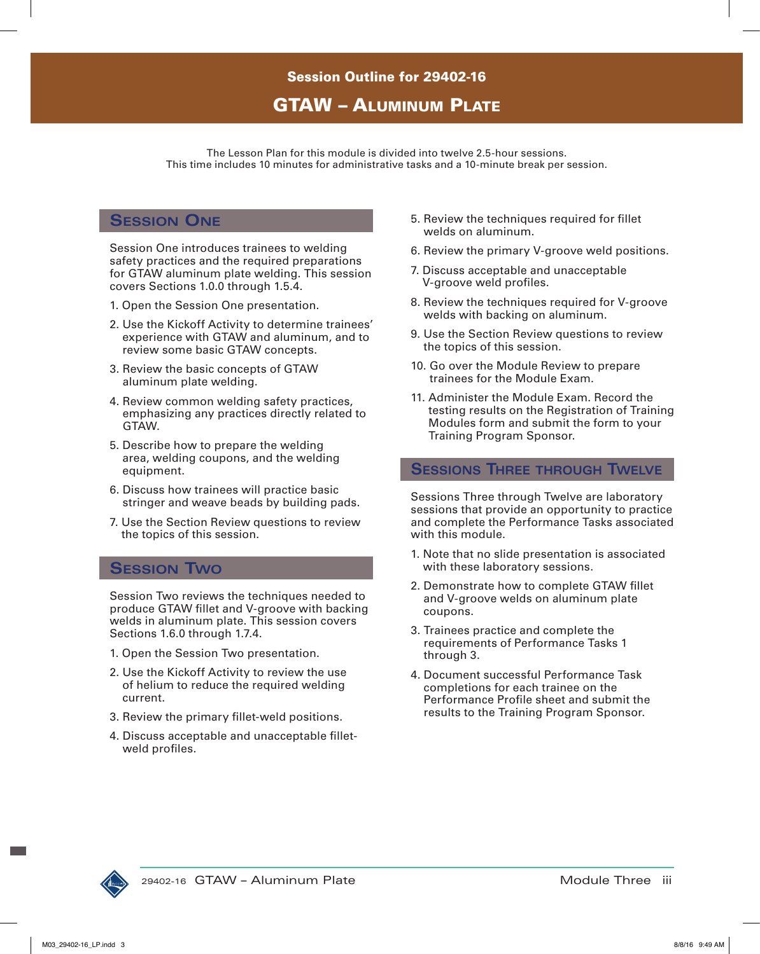# Session Outline for 29402-16

# GTAW – Aluminum Plate

The Lesson Plan for this module is divided into twelve 2.5-hour sessions. This time includes 10 minutes for administrative tasks and a 10-minute break per session.

# **Session One**

Session One introduces trainees to welding safety practices and the required preparations for GTAW aluminum plate welding. This session covers Sections 1.0.0 through 1.5.4.

- 1. Open the Session One presentation.
- 2. Use the Kickoff Activity to determine trainees' experience with GTAW and aluminum, and to review some basic GTAW concepts.
- 3. Review the basic concepts of GTAW aluminum plate welding.
- 4. Review common welding safety practices, emphasizing any practices directly related to GTAW.
- 5. Describe how to prepare the welding area, welding coupons, and the welding equipment.
- 6. Discuss how trainees will practice basic stringer and weave beads by building pads.
- 7. Use the Section Review questions to review the topics of this session.

# **Session Two**

Session Two reviews the techniques needed to produce GTAW fillet and V-groove with backing welds in aluminum plate. This session covers Sections 1.6.0 through 1.7.4.

- 1. Open the Session Two presentation.
- 2. Use the Kickoff Activity to review the use of helium to reduce the required welding current.
- 3. Review the primary fillet-weld positions.
- 4. Discuss acceptable and unacceptable filletweld profiles.
- 5. Review the techniques required for fillet welds on aluminum.
- 6. Review the primary V-groove weld positions.
- 7. Discuss acceptable and unacceptable V-groove weld profiles.
- 8. Review the techniques required for V-groove welds with backing on aluminum.
- 9. Use the Section Review questions to review the topics of this session.
- 10. Go over the Module Review to prepare trainees for the Module Exam.
- 11. Administer the Module Exam. Record the testing results on the Registration of Training Modules form and submit the form to your Training Program Sponsor.

## **Sessions Three through Twelve**

Sessions Three through Twelve are laboratory sessions that provide an opportunity to practice and complete the Performance Tasks associated with this module.

- 1. Note that no slide presentation is associated with these laboratory sessions.
- 2. Demonstrate how to complete GTAW fillet and V-groove welds on aluminum plate coupons.
- 3. Trainees practice and complete the requirements of Performance Tasks 1 through 3.
- 4. Document successful Performance Task completions for each trainee on the Performance Profile sheet and submit the results to the Training Program Sponsor.

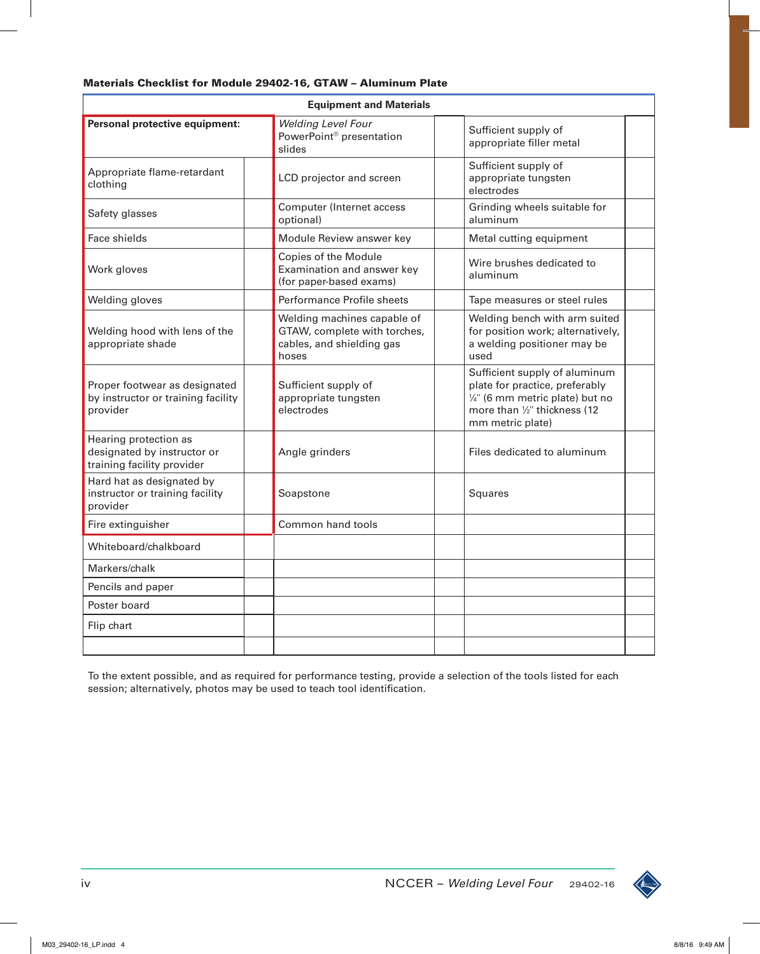| <b>Equipment and Materials</b>                                                     |                                                                                                   |                                                                                                                                                        |
|------------------------------------------------------------------------------------|---------------------------------------------------------------------------------------------------|--------------------------------------------------------------------------------------------------------------------------------------------------------|
| Personal protective equipment:                                                     | <b>Welding Level Four</b><br>PowerPoint <sup>®</sup> presentation<br>slides                       | Sufficient supply of<br>appropriate filler metal                                                                                                       |
| Appropriate flame-retardant<br>clothing                                            | LCD projector and screen                                                                          | Sufficient supply of<br>appropriate tungsten<br>electrodes                                                                                             |
| Safety glasses                                                                     | Computer (Internet access<br>optional)                                                            | Grinding wheels suitable for<br>aluminum                                                                                                               |
| Face shields                                                                       | Module Review answer key                                                                          | Metal cutting equipment                                                                                                                                |
| Work gloves                                                                        | Copies of the Module<br>Examination and answer key<br>(for paper-based exams)                     | Wire brushes dedicated to<br>aluminum                                                                                                                  |
| Welding gloves                                                                     | Performance Profile sheets                                                                        | Tape measures or steel rules                                                                                                                           |
| Welding hood with lens of the<br>appropriate shade                                 | Welding machines capable of<br>GTAW, complete with torches,<br>cables, and shielding gas<br>hoses | Welding bench with arm suited<br>for position work; alternatively,<br>a welding positioner may be<br>used                                              |
| Proper footwear as designated<br>by instructor or training facility<br>provider    | Sufficient supply of<br>appropriate tungsten<br>electrodes                                        | Sufficient supply of aluminum<br>plate for practice, preferably<br>1/4" (6 mm metric plate) but no<br>more than 1/2" thickness (12<br>mm metric plate) |
| Hearing protection as<br>designated by instructor or<br>training facility provider | Angle grinders                                                                                    | Files dedicated to aluminum                                                                                                                            |
| Hard hat as designated by<br>instructor or training facility<br>provider           | Soapstone                                                                                         | Squares                                                                                                                                                |
| Fire extinguisher                                                                  | Common hand tools                                                                                 |                                                                                                                                                        |
| Whiteboard/chalkboard                                                              |                                                                                                   |                                                                                                                                                        |
| Markers/chalk                                                                      |                                                                                                   |                                                                                                                                                        |
| Pencils and paper                                                                  |                                                                                                   |                                                                                                                                                        |
| Poster board                                                                       |                                                                                                   |                                                                                                                                                        |
| Flip chart                                                                         |                                                                                                   |                                                                                                                                                        |
|                                                                                    |                                                                                                   |                                                                                                                                                        |

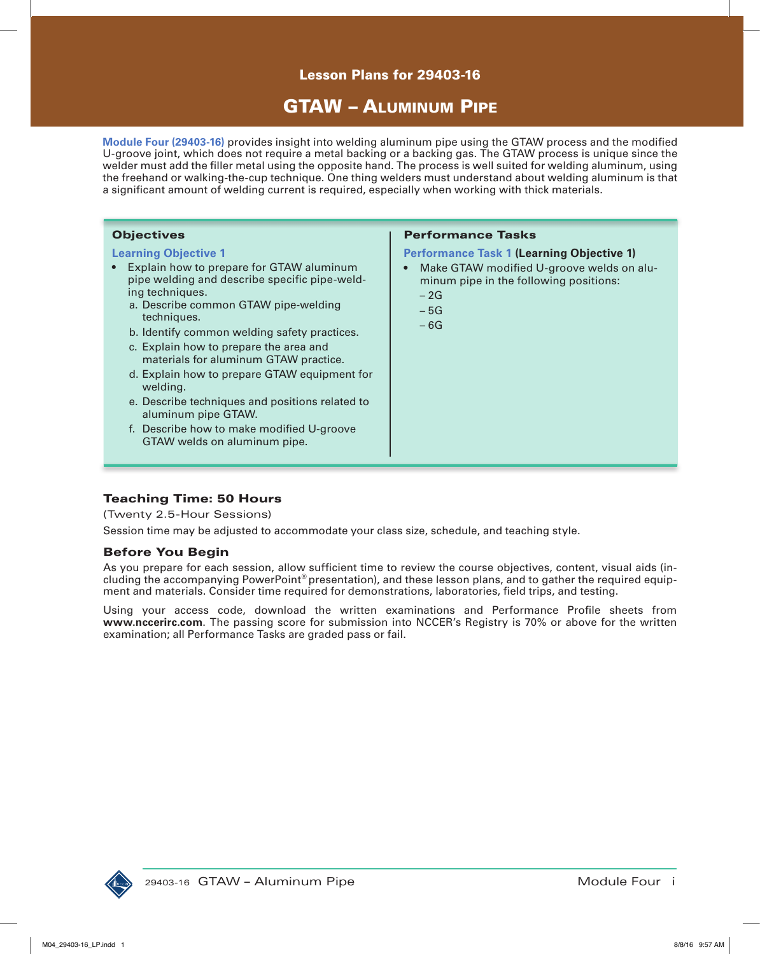# Lesson Plans for 29403-16

# GTAW – Aluminum Pipe

**Module Four (29403-16)** provides insight into welding aluminum pipe using the GTAW process and the modified U-groove joint, which does not require a metal backing or a backing gas. The GTAW process is unique since the welder must add the filler metal using the opposite hand. The process is well suited for welding aluminum, using the freehand or walking-the-cup technique. One thing welders must understand about welding aluminum is that a significant amount of welding current is required, especially when working with thick materials.

| <b>Objectives</b>                                                                                                                                                                                                                                                                                                                                                                                                                                                                                                                                                     | <b>Performance Tasks</b>                                                                                                                                                        |
|-----------------------------------------------------------------------------------------------------------------------------------------------------------------------------------------------------------------------------------------------------------------------------------------------------------------------------------------------------------------------------------------------------------------------------------------------------------------------------------------------------------------------------------------------------------------------|---------------------------------------------------------------------------------------------------------------------------------------------------------------------------------|
| <b>Learning Objective 1</b><br>Explain how to prepare for GTAW aluminum<br>$\bullet$<br>pipe welding and describe specific pipe-weld-<br>ing techniques.<br>a. Describe common GTAW pipe-welding<br>techniques.<br>b. Identify common welding safety practices.<br>c. Explain how to prepare the area and<br>materials for aluminum GTAW practice.<br>d. Explain how to prepare GTAW equipment for<br>welding.<br>e. Describe techniques and positions related to<br>aluminum pipe GTAW.<br>f. Describe how to make modified U-groove<br>GTAW welds on aluminum pipe. | <b>Performance Task 1 (Learning Objective 1)</b><br>Make GTAW modified U-groove welds on alu-<br>$\bullet$<br>minum pipe in the following positions:<br>$-2G$<br>$-5G$<br>$-6G$ |

## Teaching Time: 50 Hours

(Twenty 2.5-Hour Sessions)

Session time may be adjusted to accommodate your class size, schedule, and teaching style.

## Before You Begin

As you prepare for each session, allow sufficient time to review the course objectives, content, visual aids (including the accompanying PowerPoint® presentation), and these lesson plans, and to gather the required equipment and materials. Consider time required for demonstrations, laboratories, field trips, and testing.

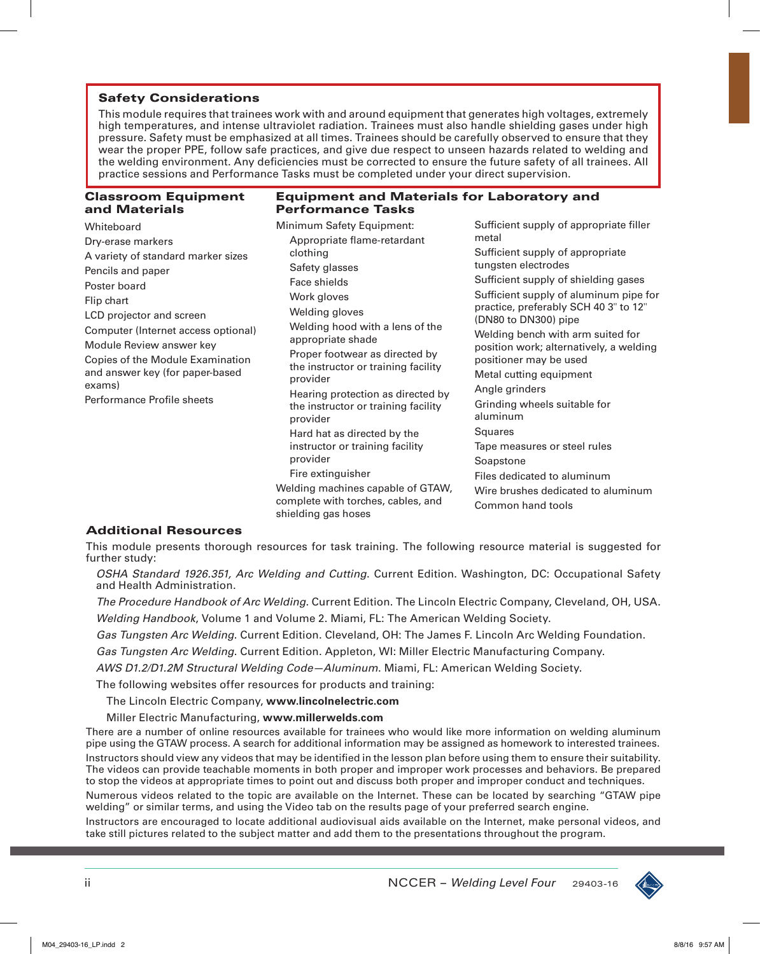This module requires that trainees work with and around equipment that generates high voltages, extremely high temperatures, and intense ultraviolet radiation. Trainees must also handle shielding gases under high pressure. Safety must be emphasized at all times. Trainees should be carefully observed to ensure that they wear the proper PPE, follow safe practices, and give due respect to unseen hazards related to welding and the welding environment. Any deficiencies must be corrected to ensure the future safety of all trainees. All practice sessions and Performance Tasks must be completed under your direct supervision.

#### Classroom Equipment and Materials

#### Equipment and Materials for Laboratory and Performance Tasks

Whiteboard Dry-erase markers A variety of standard marker sizes Pencils and paper Poster board Flip chart LCD projector and screen Computer (Internet access optional) Module Review answer key Copies of the Module Examination and answer key (for paper-based exams) Performance Profile sheets

Minimum Safety Equipment: Appropriate flame-retardant clothing Safety glasses Face shields Work gloves Welding gloves Welding hood with a lens of the appropriate shade Proper footwear as directed by the instructor or training facility provider Hearing protection as directed by the instructor or training facility provider Hard hat as directed by the instructor or training facility provider Fire extinguisher Welding machines capable of GTAW, complete with torches, cables, and shielding gas hoses

Sufficient supply of appropriate filler metal Sufficient supply of appropriate tungsten electrodes Sufficient supply of shielding gases Sufficient supply of aluminum pipe for practice, preferably SCH 40 3" to 12" (DN80 to DN300) pipe Welding bench with arm suited for position work; alternatively, a welding positioner may be used Metal cutting equipment Angle grinders Grinding wheels suitable for aluminum **Squares** Tape measures or steel rules Soapstone Files dedicated to aluminum Wire brushes dedicated to aluminum Common hand tools

## Additional Resources

This module presents thorough resources for task training. The following resource material is suggested for further study:

*OSHA Standard 1926.351, Arc Welding and Cutting*. Current Edition. Washington, DC: Occupational Safety and Health Administration.

*The Procedure Handbook of Arc Welding*. Current Edition. The Lincoln Electric Company, Cleveland, OH, USA. *Welding Handbook*, Volume 1 and Volume 2. Miami, FL: The American Welding Society.

*Gas Tungsten Arc Welding*. Current Edition. Cleveland, OH: The James F. Lincoln Arc Welding Foundation.

*Gas Tungsten Arc Welding*. Current Edition. Appleton, WI: Miller Electric Manufacturing Company.

*AWS D1.2/D1.2M Structural Welding Code—Aluminum*. Miami, FL: American Welding Society.

The following websites offer resources for products and training:

The Lincoln Electric Company, **www.lincolnelectric.com**

Miller Electric Manufacturing, **www.millerwelds.com**

There are a number of online resources available for trainees who would like more information on welding aluminum pipe using the GTAW process. A search for additional information may be assigned as homework to interested trainees.

Instructors should view any videos that may be identified in the lesson plan before using them to ensure their suitability. The videos can provide teachable moments in both proper and improper work processes and behaviors. Be prepared to stop the videos at appropriate times to point out and discuss both proper and improper conduct and techniques.

Numerous videos related to the topic are available on the Internet. These can be located by searching "GTAW pipe welding" or similar terms, and using the Video tab on the results page of your preferred search engine.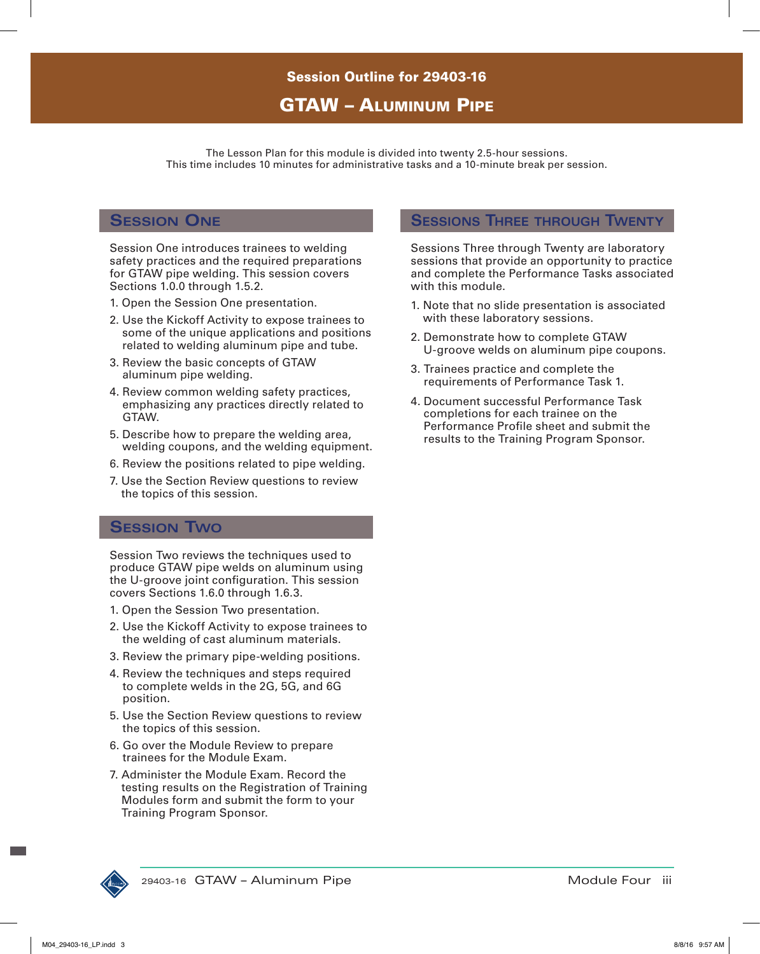# Session Outline for 29403-16

GTAW – Aluminum Pipe

The Lesson Plan for this module is divided into twenty 2.5-hour sessions. This time includes 10 minutes for administrative tasks and a 10-minute break per session.

# **Session One**

Session One introduces trainees to welding safety practices and the required preparations for GTAW pipe welding. This session covers Sections 1.0.0 through 1.5.2.

- 1. Open the Session One presentation.
- 2. Use the Kickoff Activity to expose trainees to some of the unique applications and positions related to welding aluminum pipe and tube.
- 3. Review the basic concepts of GTAW aluminum pipe welding.
- 4. Review common welding safety practices, emphasizing any practices directly related to GTAW.
- 5. Describe how to prepare the welding area, welding coupons, and the welding equipment.
- 6. Review the positions related to pipe welding.
- 7. Use the Section Review questions to review the topics of this session.

# **Session Two**

Session Two reviews the techniques used to produce GTAW pipe welds on aluminum using the U-groove joint configuration. This session covers Sections 1.6.0 through 1.6.3.

- 1. Open the Session Two presentation.
- 2. Use the Kickoff Activity to expose trainees to the welding of cast aluminum materials.
- 3. Review the primary pipe-welding positions.
- 4. Review the techniques and steps required to complete welds in the 2G, 5G, and 6G position.
- 5. Use the Section Review questions to review the topics of this session.
- 6. Go over the Module Review to prepare trainees for the Module Exam.
- 7. Administer the Module Exam. Record the testing results on the Registration of Training Modules form and submit the form to your Training Program Sponsor.

## **Sessions Three through Twenty**

Sessions Three through Twenty are laboratory sessions that provide an opportunity to practice and complete the Performance Tasks associated with this module.

- 1. Note that no slide presentation is associated with these laboratory sessions.
- 2. Demonstrate how to complete GTAW U-groove welds on aluminum pipe coupons.
- 3. Trainees practice and complete the requirements of Performance Task 1.
- 4. Document successful Performance Task completions for each trainee on the Performance Profile sheet and submit the results to the Training Program Sponsor.

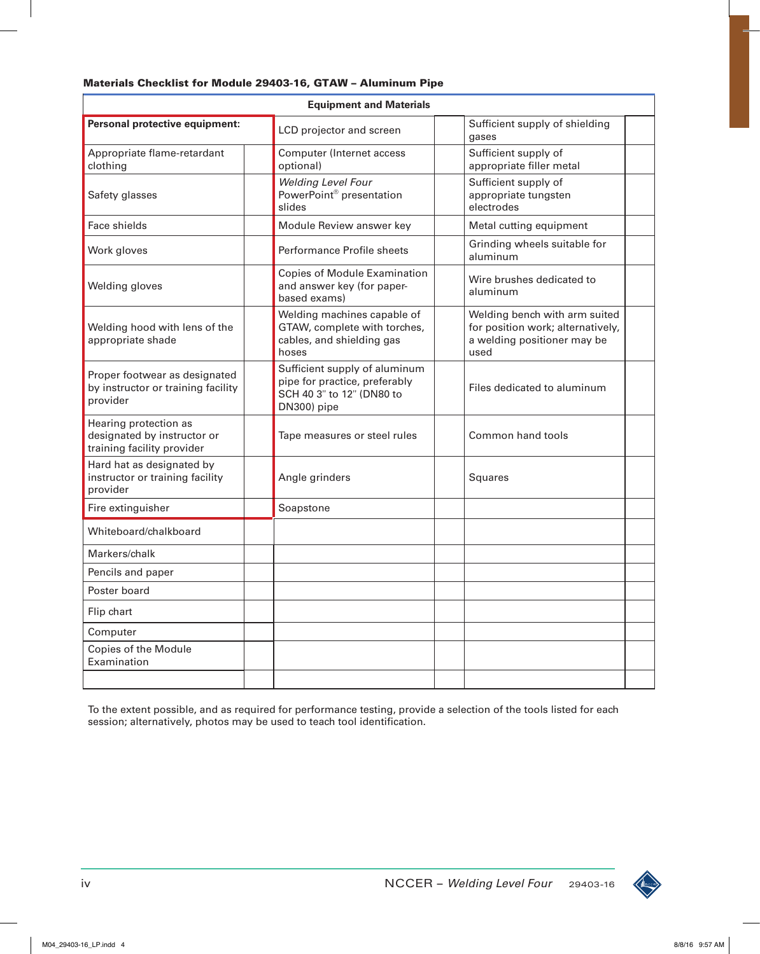## Materials Checklist for Module 29403-16, GTAW – Aluminum Pipe

| <b>Equipment and Materials</b>                                                     |                                                                                                            |                                                                                                           |
|------------------------------------------------------------------------------------|------------------------------------------------------------------------------------------------------------|-----------------------------------------------------------------------------------------------------------|
| Personal protective equipment:                                                     | LCD projector and screen                                                                                   | Sufficient supply of shielding<br>gases                                                                   |
| Appropriate flame-retardant<br>clothing                                            | Computer (Internet access<br>optional)                                                                     | Sufficient supply of<br>appropriate filler metal                                                          |
| Safety glasses                                                                     | <b>Welding Level Four</b><br>PowerPoint <sup>®</sup> presentation<br>slides                                | Sufficient supply of<br>appropriate tungsten<br>electrodes                                                |
| Face shields                                                                       | Module Review answer key                                                                                   | Metal cutting equipment                                                                                   |
| Work gloves                                                                        | Performance Profile sheets                                                                                 | Grinding wheels suitable for<br>aluminum                                                                  |
| Welding gloves                                                                     | <b>Copies of Module Examination</b><br>and answer key (for paper-<br>based exams)                          | Wire brushes dedicated to<br>aluminum                                                                     |
| Welding hood with lens of the<br>appropriate shade                                 | Welding machines capable of<br>GTAW, complete with torches,<br>cables, and shielding gas<br>hoses          | Welding bench with arm suited<br>for position work; alternatively,<br>a welding positioner may be<br>used |
| Proper footwear as designated<br>by instructor or training facility<br>provider    | Sufficient supply of aluminum<br>pipe for practice, preferably<br>SCH 40 3" to 12" (DN80 to<br>DN300) pipe | Files dedicated to aluminum                                                                               |
| Hearing protection as<br>designated by instructor or<br>training facility provider | Tape measures or steel rules                                                                               | Common hand tools                                                                                         |
| Hard hat as designated by<br>instructor or training facility<br>provider           | Angle grinders                                                                                             | Squares                                                                                                   |
| Fire extinguisher                                                                  | Soapstone                                                                                                  |                                                                                                           |
| Whiteboard/chalkboard                                                              |                                                                                                            |                                                                                                           |
| Markers/chalk                                                                      |                                                                                                            |                                                                                                           |
| Pencils and paper                                                                  |                                                                                                            |                                                                                                           |
| Poster board                                                                       |                                                                                                            |                                                                                                           |
| Flip chart                                                                         |                                                                                                            |                                                                                                           |
| Computer                                                                           |                                                                                                            |                                                                                                           |
| Copies of the Module<br>Examination                                                |                                                                                                            |                                                                                                           |
|                                                                                    |                                                                                                            |                                                                                                           |

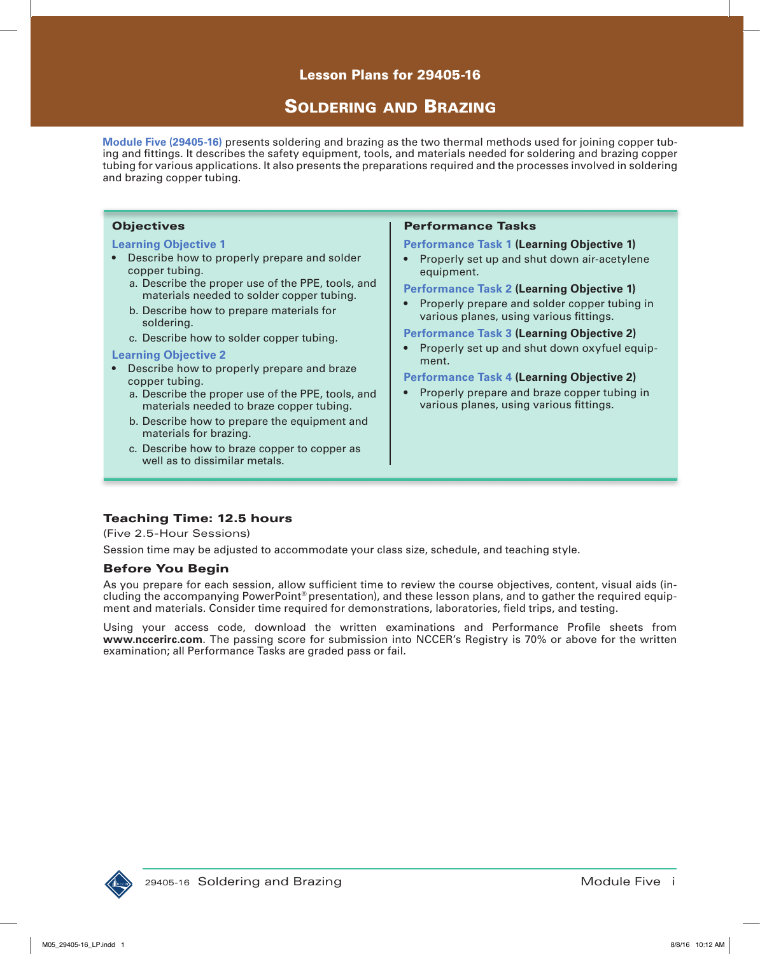# Lesson Plans for 29405-16

# Soldering and Brazing

**Module Five (29405-16)** presents soldering and brazing as the two thermal methods used for joining copper tubing and fittings. It describes the safety equipment, tools, and materials needed for soldering and brazing copper tubing for various applications. It also presents the preparations required and the processes involved in soldering and brazing copper tubing.

#### **Objectives**

#### **Learning Objective 1**

- Describe how to properly prepare and solder copper tubing.
	- a. Describe the proper use of the PPE, tools, and materials needed to solder copper tubing.
	- b. Describe how to prepare materials for soldering.
	- c. Describe how to solder copper tubing.

#### **Learning Objective 2**

- Describe how to properly prepare and braze copper tubing.
	- a. Describe the proper use of the PPE, tools, and materials needed to braze copper tubing.
	- b. Describe how to prepare the equipment and materials for brazing.
	- c. Describe how to braze copper to copper as well as to dissimilar metals.

#### Performance Tasks

#### **Performance Task 1 (Learning Objective 1)**

• Properly set up and shut down air-acetylene equipment.

#### **Performance Task 2 (Learning Objective 1)**

• Properly prepare and solder copper tubing in various planes, using various fittings.

#### **Performance Task 3 (Learning Objective 2)**

• Properly set up and shut down oxyfuel equipment.

#### **Performance Task 4 (Learning Objective 2)**

• Properly prepare and braze copper tubing in various planes, using various fittings.

## Teaching Time: 12.5 hours

(Five 2.5-Hour Sessions)

Session time may be adjusted to accommodate your class size, schedule, and teaching style.

## Before You Begin

As you prepare for each session, allow sufficient time to review the course objectives, content, visual aids (including the accompanying PowerPoint® presentation), and these lesson plans, and to gather the required equipment and materials. Consider time required for demonstrations, laboratories, field trips, and testing.

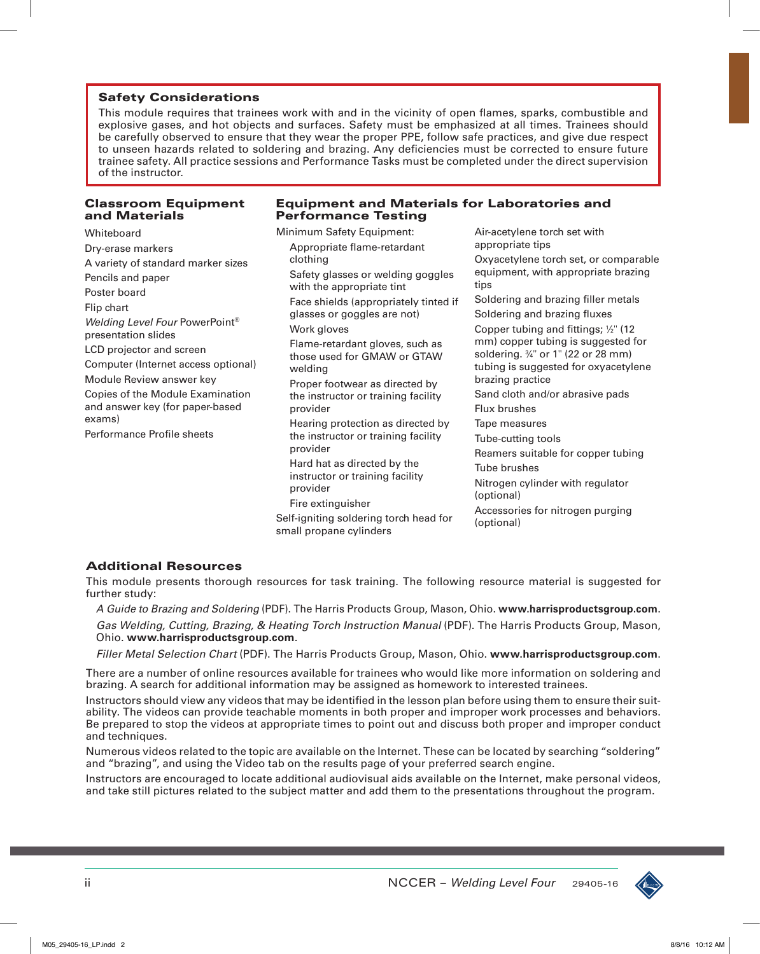This module requires that trainees work with and in the vicinity of open flames, sparks, combustible and explosive gases, and hot objects and surfaces. Safety must be emphasized at all times. Trainees should be carefully observed to ensure that they wear the proper PPE, follow safe practices, and give due respect to unseen hazards related to soldering and brazing. Any deficiencies must be corrected to ensure future trainee safety. All practice sessions and Performance Tasks must be completed under the direct supervision of the instructor.

#### Classroom Equipment and Materials

Whiteboard Dry-erase markers A variety of standard marker sizes Pencils and paper Poster board Flip chart *Welding Level Four* PowerPoint® presentation slides LCD projector and screen Computer (Internet access optional) Module Review answer key Copies of the Module Examination and answer key (for paper-based exams)

Performance Profile sheets

## Equipment and Materials for Laboratories and Performance Testing

Minimum Safety Equipment: Appropriate flame-retardant clothing Safety glasses or welding goggles with the appropriate tint Face shields (appropriately tinted if glasses or goggles are not) Work gloves Flame-retardant gloves, such as those used for GMAW or GTAW welding Proper footwear as directed by the instructor or training facility provider Hearing protection as directed by the instructor or training facility provider Hard hat as directed by the instructor or training facility provider Fire extinguisher Self-igniting soldering torch head for small propane cylinders Air-acetylene torch set with appropriate tips Oxyacetylene torch set, or comparable equipment, with appropriate brazing tips Soldering and brazing filler metals Soldering and brazing fluxes Copper tubing and fittings;  $\frac{1}{2}$ " (12) mm) copper tubing is suggested for soldering. 3 ⁄4" or 1" (22 or 28 mm) tubing is suggested for oxyacetylene brazing practice Sand cloth and/or abrasive pads Flux brushes Tape measures Tube-cutting tools Reamers suitable for copper tubing Tube brushes Nitrogen cylinder with regulator (optional) Accessories for nitrogen purging (optional)

## Additional Resources

This module presents thorough resources for task training. The following resource material is suggested for further study:

*A Guide to Brazing and Soldering* (PDF). The Harris Products Group, Mason, Ohio. **www.harrisproductsgroup.com**. *Gas Welding, Cutting, Brazing, & Heating Torch Instruction Manual* (PDF). The Harris Products Group, Mason, Ohio. **www.harrisproductsgroup.com**.

*Filler Metal Selection Chart* (PDF). The Harris Products Group, Mason, Ohio. **www.harrisproductsgroup.com**.

There are a number of online resources available for trainees who would like more information on soldering and brazing. A search for additional information may be assigned as homework to interested trainees.

Instructors should view any videos that may be identified in the lesson plan before using them to ensure their suitability. The videos can provide teachable moments in both proper and improper work processes and behaviors. Be prepared to stop the videos at appropriate times to point out and discuss both proper and improper conduct and techniques.

Numerous videos related to the topic are available on the Internet. These can be located by searching "soldering" and "brazing", and using the Video tab on the results page of your preferred search engine.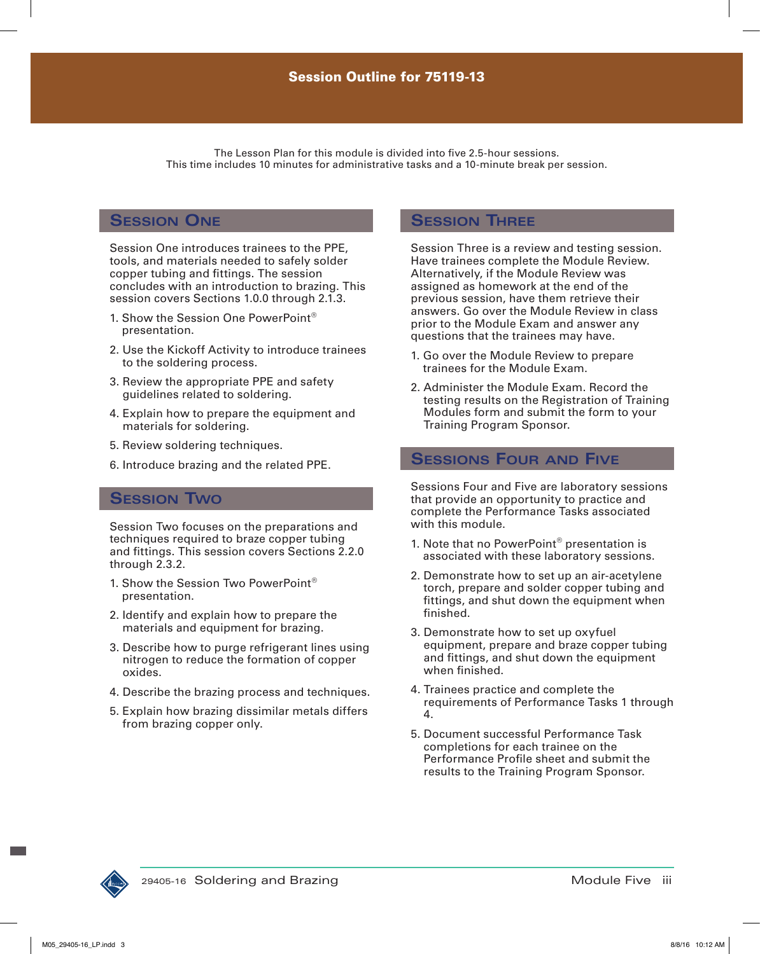The Lesson Plan for this module is divided into five 2.5-hour sessions. This time includes 10 minutes for administrative tasks and a 10-minute break per session.

# **Session One**

Session One introduces trainees to the PPE, tools, and materials needed to safely solder copper tubing and fittings. The session concludes with an introduction to brazing. This session covers Sections 1.0.0 through 2.1.3.

- 1. Show the Session One PowerPoint® presentation.
- 2. Use the Kickoff Activity to introduce trainees to the soldering process.
- 3. Review the appropriate PPE and safety guidelines related to soldering.
- 4. Explain how to prepare the equipment and materials for soldering.
- 5. Review soldering techniques.
- 6. Introduce brazing and the related PPE.

# **Session Two**

Session Two focuses on the preparations and techniques required to braze copper tubing and fittings. This session covers Sections 2.2.0 through 2.3.2.

- 1. Show the Session Two PowerPoint® presentation.
- 2. Identify and explain how to prepare the materials and equipment for brazing.
- 3. Describe how to purge refrigerant lines using nitrogen to reduce the formation of copper oxides.
- 4. Describe the brazing process and techniques.
- 5. Explain how brazing dissimilar metals differs from brazing copper only.

# **Session Three**

Session Three is a review and testing session. Have trainees complete the Module Review. Alternatively, if the Module Review was assigned as homework at the end of the previous session, have them retrieve their answers. Go over the Module Review in class prior to the Module Exam and answer any questions that the trainees may have.

- 1. Go over the Module Review to prepare trainees for the Module Exam.
- 2. Administer the Module Exam. Record the testing results on the Registration of Training Modules form and submit the form to your Training Program Sponsor.

## **Sessions Four and Five**

Sessions Four and Five are laboratory sessions that provide an opportunity to practice and complete the Performance Tasks associated with this module.

- 1. Note that no PowerPoint® presentation is associated with these laboratory sessions.
- 2. Demonstrate how to set up an air-acetylene torch, prepare and solder copper tubing and fittings, and shut down the equipment when finished.
- 3. Demonstrate how to set up oxyfuel equipment, prepare and braze copper tubing and fittings, and shut down the equipment when finished.
- 4. Trainees practice and complete the requirements of Performance Tasks 1 through 4.
- 5. Document successful Performance Task completions for each trainee on the Performance Profile sheet and submit the results to the Training Program Sponsor.